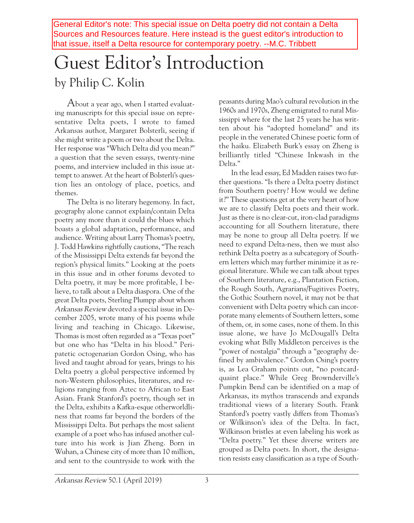General Editor's note: This special issue on Delta poetry did not contain a Delta Sources and Resources feature. Here instead is the guest editor's introduction to that issue, itself a Delta resource for contemporary poetry. --M.C. Tribbett

## Guest Editor' s Introduction by Philip C. Kolin

About <sup>a</sup> year ago, when <sup>I</sup> started evaluating manuscripts for this special issue on representative Delta poets, I wrote to famed Arkansas author, Margaret Bolsterli, seeing if she might write a poem or two about the Delta. Her response was "Which Delta did you mean?" a question that the seven essays, twenty-nine poems, and interview included in this issue attempt to answer. At the heart of Bolsterli's question lies an ontology of place, poetics, and themes.

The Delta is no literary hegemony. In fact, geography alone cannot explain/contain Delta poetry any more than it could the blues which boasts a global adaptation, performance, and audience. Writing about Larry Thomas's poetry, J. Todd Hawkins rightfully cautions, "The reach of the Mississippi Delta extends far beyond the region's physical limits." Looking at the poets in this issue and in other forums devoted to Delta poetry, it may be more profitable, I believe, to talk about a Delta diaspora. One of the great Delta poets, Sterling Plumpp about whom Arkansas Review devoted a special issue in December 2005, wrote many of his poems while living and teaching in Chicago. Likewise, Thomas is most often regarded as a "Texas poet" but one who has "Delta in his blood." Peripatetic octogenarian Gordon Osing, who has lived and taught abroad for years, brings to his Delta poetry a global perspective informed by non-Western philosophies, literatures, and religions ranging from Aztec to African to East Asian. Frank Stanford's poetry, though set in the Delta, exhibits a Kafka-esque otherworldliness that roams far beyond the borders of the Mississippi Delta. But perhaps the most salient example of a poet who has infused another culture into his work is Jian Zheng. Born in Wuhan, a Chinese city of more than 10 million, and sent to the countryside to work with the

peasants during Mao's cultural revolution in the 1960s and 1970s, Zheng emigrated to rural Mississippi where for the last 25 years he has written about his "adopted homeland" and its people in the venerated Chinese poetic form of the haiku. Elizabeth Burk's essay on Zheng is brilliantly titled "Chinese Inkwash in the Delta."

In the lead essay, Ed Madden raises two further questions. "Is there a Delta poetry distinct from Southern poetry? How would we define it?" These questions get at the very heart of how we are to classify Delta poets and their work. Just as there is no clear-cut, iron-clad paradigms accounting for all Southern literature, there may be none to group all Delta poetry. If we need to expand Delta-ness, then we must also rethink Delta poetry as a subcategory of Southern letters which may further minimize it as regional literature. While we can talk about types of Southern literature, e.g., Plantation Fiction, the Rough South, Agrarians/Fugitives Poetry, the Gothic Southern novel, it may not be that convenient with Delta poetry which can incorporate many elements of Southern letters, some of them, or, in some cases, none of them. In this issue alone, we have Jo McDougall's Delta evoking what Billy Middleton perceives is the "power of nostalgia" through a "geography defined by ambivalence." Gordon Osing's poetry is, as Lea Graham points out, "no postcardquaint place." While Greg Brownderville's Pumpkin Bend can be identified on a map of Arkansas, its mythos transcends and expands traditional views of a literary South. Frank Stanford's poetry vastly differs from Thomas's or Wilkinson's idea of the Delta. In fact, Wilkinson bristles at even labeling his work as "Delta poetry." Yet these diverse writers are grouped as Delta poets. In short, the designation resists easy classification as a type of South